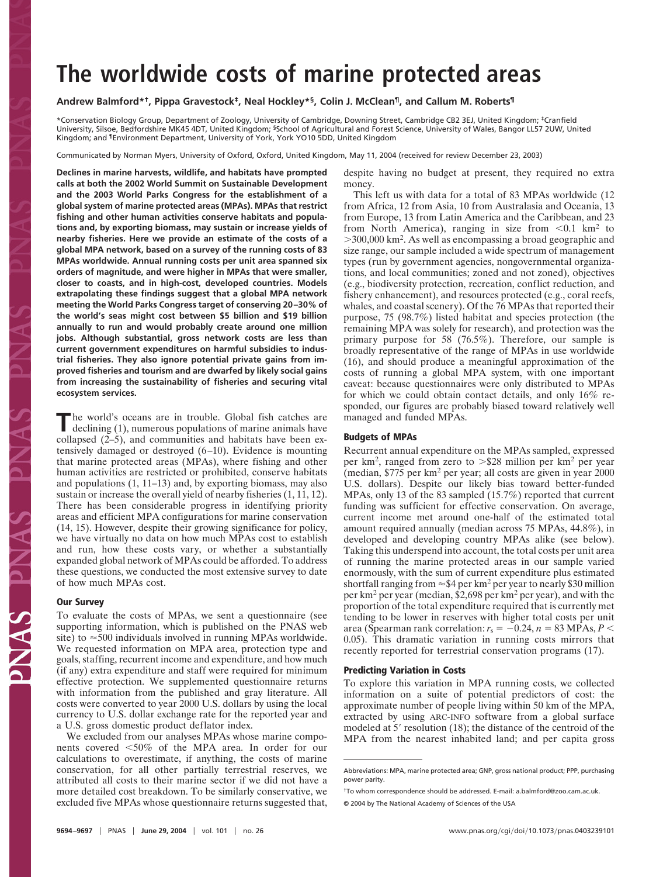# **The worldwide costs of marine protected areas**

## **Andrew Balmford\*†, Pippa Gravestock‡, Neal Hockley\*§, Colin J. McClean¶, and Callum M. Roberts¶**

\*Conservation Biology Group, Department of Zoology, University of Cambridge, Downing Street, Cambridge CB2 3EJ, United Kingdom; ‡Cranfield University, Silsoe, Bedfordshire MK45 4DT, United Kingdom; §School of Agricultural and Forest Science, University of Wales, Bangor LL57 2UW, United Kingdom; and ¶Environment Department, University of York, York YO10 5DD, United Kingdom

Communicated by Norman Myers, University of Oxford, Oxford, United Kingdom, May 11, 2004 (received for review December 23, 2003)

**Declines in marine harvests, wildlife, and habitats have prompted calls at both the 2002 World Summit on Sustainable Development and the 2003 World Parks Congress for the establishment of a global system of marine protected areas (MPAs). MPAs that restrict fishing and other human activities conserve habitats and populations and, by exporting biomass, may sustain or increase yields of nearby fisheries. Here we provide an estimate of the costs of a global MPA network, based on a survey of the running costs of 83 MPAs worldwide. Annual running costs per unit area spanned six orders of magnitude, and were higher in MPAs that were smaller, closer to coasts, and in high-cost, developed countries. Models extrapolating these findings suggest that a global MPA network meeting the World Parks Congress target of conserving 20–30% of the world's seas might cost between \$5 billion and \$19 billion annually to run and would probably create around one million jobs. Although substantial, gross network costs are less than current government expenditures on harmful subsidies to industrial fisheries. They also ignore potential private gains from improved fisheries and tourism and are dwarfed by likely social gains from increasing the sustainability of fisheries and securing vital ecosystem services.**

The world's oceans are in trouble. Global fish catches are declining (1), numerous populations of marine animals have collapsed (2–5), and communities and habitats have been extensively damaged or destroyed (6–10). Evidence is mounting that marine protected areas (MPAs), where fishing and other human activities are restricted or prohibited, conserve habitats and populations (1, 11–13) and, by exporting biomass, may also sustain or increase the overall yield of nearby fisheries (1, 11, 12). There has been considerable progress in identifying priority areas and efficient MPA configurations for marine conservation (14, 15). However, despite their growing significance for policy, we have virtually no data on how much MPAs cost to establish and run, how these costs vary, or whether a substantially expanded global network of MPAs could be afforded. To address these questions, we conducted the most extensive survey to date of how much MPAs cost.

#### **Our Survey**

To evaluate the costs of MPAs, we sent a questionnaire (see supporting information, which is published on the PNAS web site) to  $\approx$  500 individuals involved in running MPAs worldwide. We requested information on MPA area, protection type and goals, staffing, recurrent income and expenditure, and how much (if any) extra expenditure and staff were required for minimum effective protection. We supplemented questionnaire returns with information from the published and gray literature. All costs were converted to year 2000 U.S. dollars by using the local currency to U.S. dollar exchange rate for the reported year and a U.S. gross domestic product deflator index.

We excluded from our analyses MPAs whose marine components covered -50% of the MPA area. In order for our calculations to overestimate, if anything, the costs of marine conservation, for all other partially terrestrial reserves, we attributed all costs to their marine sector if we did not have a more detailed cost breakdown. To be similarly conservative, we excluded five MPAs whose questionnaire returns suggested that,

despite having no budget at present, they required no extra money.

This left us with data for a total of 83 MPAs worldwide (12 from Africa, 12 from Asia, 10 from Australasia and Oceania, 13 from Europe, 13 from Latin America and the Caribbean, and 23 from North America), ranging in size from  $\leq 0.1$  km<sup>2</sup> to  $>$ 300,000 km<sup>2</sup>. As well as encompassing a broad geographic and size range, our sample included a wide spectrum of management types (run by government agencies, nongovernmental organizations, and local communities; zoned and not zoned), objectives (e.g., biodiversity protection, recreation, conflict reduction, and fishery enhancement), and resources protected (e.g., coral reefs, whales, and coastal scenery). Of the 76 MPAs that reported their purpose, 75 (98.7%) listed habitat and species protection (the remaining MPA was solely for research), and protection was the primary purpose for 58 (76.5%). Therefore, our sample is broadly representative of the range of MPAs in use worldwide (16), and should produce a meaningful approximation of the costs of running a global MPA system, with one important caveat: because questionnaires were only distributed to MPAs for which we could obtain contact details, and only 16% responded, our figures are probably biased toward relatively well managed and funded MPAs.

#### **Budgets of MPAs**

Recurrent annual expenditure on the MPAs sampled, expressed per km<sup>2</sup>, ranged from zero to  $>\$28$  million per km<sup>2</sup> per year (median, \$775 per km<sup>2</sup> per year; all costs are given in year 2000 U.S. dollars). Despite our likely bias toward better-funded MPAs, only 13 of the 83 sampled (15.7%) reported that current funding was sufficient for effective conservation. On average, current income met around one-half of the estimated total amount required annually (median across 75 MPAs, 44.8%), in developed and developing country MPAs alike (see below). Taking this underspend into account, the total costs per unit area of running the marine protected areas in our sample varied enormously, with the sum of current expenditure plus estimated shortfall ranging from  $\approx$  \$4 per km<sup>2</sup> per year to nearly \$30 million per km<sup>2</sup> per year (median, \$2,698 per km<sup>2</sup> per year), and with the proportion of the total expenditure required that is currently met tending to be lower in reserves with higher total costs per unit area (Spearman rank correlation:  $r_s = -0.24$ ,  $n = 83$  MPAs,  $P <$ 0.05). This dramatic variation in running costs mirrors that recently reported for terrestrial conservation programs (17).

#### **Predicting Variation in Costs**

To explore this variation in MPA running costs, we collected information on a suite of potential predictors of cost: the approximate number of people living within 50 km of the MPA, extracted by using ARC-INFO software from a global surface modeled at  $5'$  resolution (18); the distance of the centroid of the MPA from the nearest inhabited land; and per capita gross

Abbreviations: MPA, marine protected area; GNP, gross national product; PPP, purchasing power parity.

<sup>†</sup>To whom correspondence should be addressed. E-mail: a.balmford@zoo.cam.ac.uk.

<sup>© 2004</sup> by The National Academy of Sciences of the USA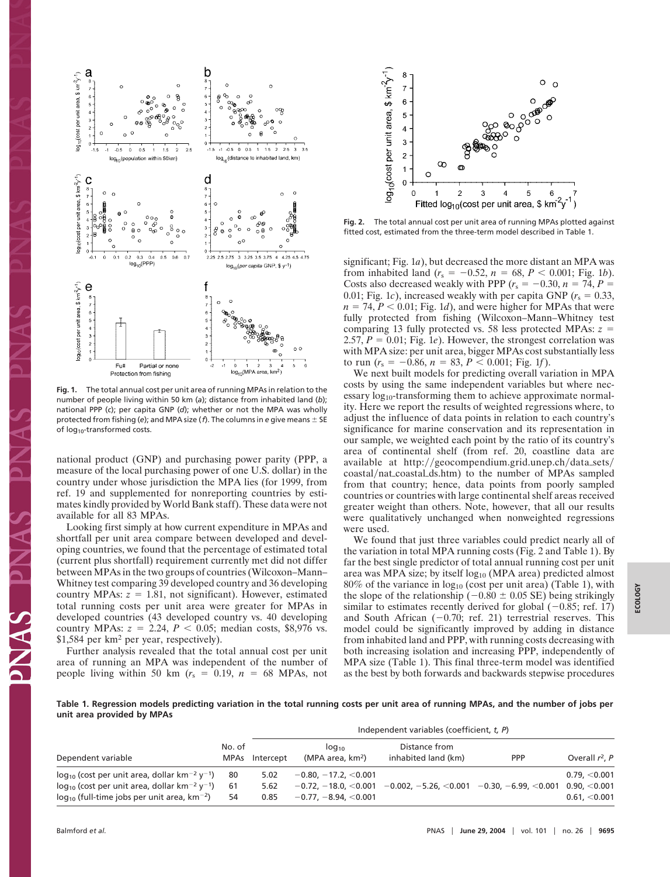

**Fig. 1.** The total annual cost per unit area of running MPAs in relation to the number of people living within 50 km (*a*); distance from inhabited land (*b*); national PPP (*c*); per capita GNP (*d*); whether or not the MPA was wholly protected from fishing (*e*); and MPA size ( $f$ ). The columns in *e* give means  $\pm$  SE of log10-transformed costs.

national product (GNP) and purchasing power parity (PPP, a measure of the local purchasing power of one U.S. dollar) in the country under whose jurisdiction the MPA lies (for 1999, from ref. 19 and supplemented for nonreporting countries by estimates kindly provided by World Bank staff). These data were not available for all 83 MPAs.

Looking first simply at how current expenditure in MPAs and shortfall per unit area compare between developed and developing countries, we found that the percentage of estimated total (current plus shortfall) requirement currently met did not differ between MPAs in the two groups of countries (Wilcoxon–Mann– Whitney test comparing 39 developed country and 36 developing country MPAs:  $z = 1.81$ , not significant). However, estimated total running costs per unit area were greater for MPAs in developed countries (43 developed country vs. 40 developing country MPAs:  $z = 2.24$ ,  $P < 0.05$ ; median costs, \$8,976 vs. \$1,584 per km<sup>2</sup> per year, respectively).

Further analysis revealed that the total annual cost per unit area of running an MPA was independent of the number of people living within 50 km  $(r_s = 0.19, n = 68$  MPAs, not



**Fig. 2.** The total annual cost per unit area of running MPAs plotted against fitted cost, estimated from the three-term model described in Table 1.

significant; Fig. 1*a*), but decreased the more distant an MPA was from inhabited land  $(r_s = -0.52, n = 68, P < 0.001;$  Fig. 1*b*). Costs also decreased weakly with PPP ( $r_s = -0.30$ ,  $n = 74$ ,  $P =$ 0.01; Fig. 1*c*), increased weakly with per capita GNP ( $r_s = 0.33$ ,  $n = 74, P < 0.01$ ; Fig. 1*d*), and were higher for MPAs that were fully protected from fishing (Wilcoxon–Mann–Whitney test comparing 13 fully protected vs. 58 less protected MPAs: *z* 2.57,  $P = 0.01$ ; Fig. 1*e*). However, the strongest correlation was with MPA size: per unit area, bigger MPAs cost substantially less to run ( $r_s = -0.86$ ,  $n = 83$ ,  $P < 0.001$ ; Fig. 1*f*).

We next built models for predicting overall variation in MPA costs by using the same independent variables but where necessary  $log_{10}$ -transforming them to achieve approximate normality. Here we report the results of weighted regressions where, to adjust the influence of data points in relation to each country's significance for marine conservation and its representation in our sample, we weighted each point by the ratio of its country's area of continental shelf (from ref. 20, coastline data are available at http://geocompendium.grid.unep.ch/data\_sets/ coastal/nat\_coastal\_ds.htm) to the number of MPAs sampled from that country; hence, data points from poorly sampled countries or countries with large continental shelf areas received greater weight than others. Note, however, that all our results were qualitatively unchanged when nonweighted regressions were used.

We found that just three variables could predict nearly all of the variation in total MPA running costs (Fig. 2 and Table 1). By far the best single predictor of total annual running cost per unit area was MPA size; by itself log<sub>10</sub> (MPA area) predicted almost  $80\%$  of the variance in  $log_{10}$  (cost per unit area) (Table 1), with the slope of the relationship ( $-0.80 \pm 0.05$  SE) being strikingly similar to estimates recently derived for global  $(-0.85;$  ref. 17) and South African  $(-0.70;$  ref. 21) terrestrial reserves. This model could be significantly improved by adding in distance from inhabited land and PPP, with running costs decreasing with both increasing isolation and increasing PPP, independently of MPA size (Table 1). This final three-term model was identified as the best by both forwards and backwards stepwise procedures

**Table 1. Regression models predicting variation in the total running costs per unit area of running MPAs, and the number of jobs per unit area provided by MPAs**

| Dependent variable                                                                                                                 |          | Independent variables (coefficient, t, P) |                                   |                                                                                                      |            |                           |
|------------------------------------------------------------------------------------------------------------------------------------|----------|-------------------------------------------|-----------------------------------|------------------------------------------------------------------------------------------------------|------------|---------------------------|
|                                                                                                                                    | No. of   | MPAs Intercept                            | $10q_{10}$<br>(MPA area, $km^2$ ) | Distance from<br>inhabited land (km)                                                                 | <b>PPP</b> | Overall $r^2$ , P         |
| $log_{10}$ (cost per unit area, dollar km <sup>-2</sup> y <sup>-1</sup> )                                                          | 80       | 5.02                                      | $-0.80, -17.2, < 0.001$           |                                                                                                      |            | 0.79 <sub>c</sub> < 0.001 |
| $log_{10}$ (cost per unit area, dollar km <sup>-2</sup> y <sup>-1</sup> )<br>$log_{10}$ (full-time jobs per unit area, $km^{-2}$ ) | 61<br>54 | 5.62<br>0.85                              | $-0.77, -8.94, < 0.001$           | $-0.72, -18.0, \leq 0.001$ $-0.002, -5.26, \leq 0.001$ $-0.30, -6.99, \leq 0.001$ $0.90, \leq 0.001$ |            | 0.61, < 0.001             |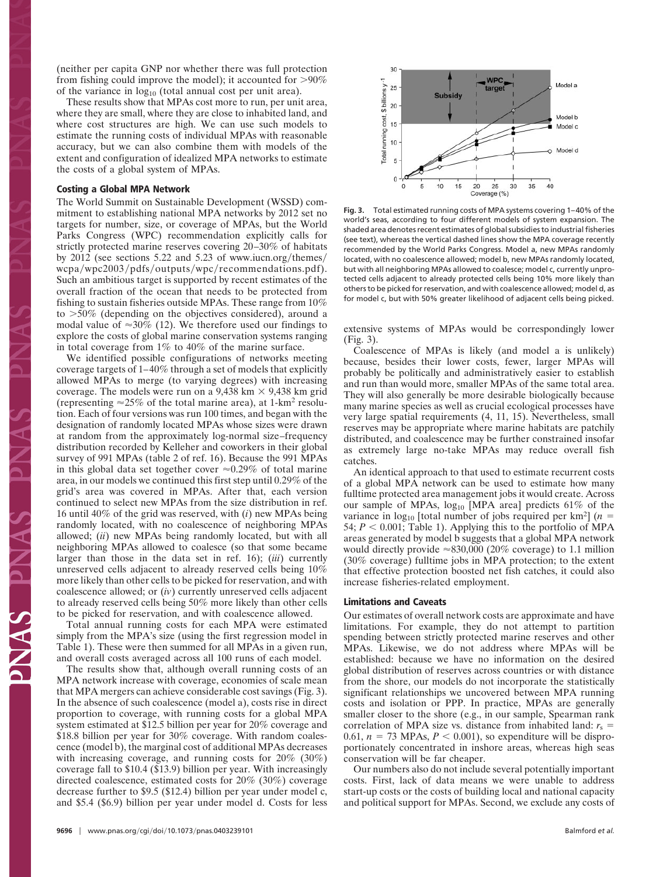(neither per capita GNP nor whether there was full protection from fishing could improve the model); it accounted for  $>90\%$ of the variance in  $log_{10}$  (total annual cost per unit area).

These results show that MPAs cost more to run, per unit area, where they are small, where they are close to inhabited land, and where cost structures are high. We can use such models to estimate the running costs of individual MPAs with reasonable accuracy, but we can also combine them with models of the extent and configuration of idealized MPA networks to estimate the costs of a global system of MPAs.

#### **Costing a Global MPA Network**

The World Summit on Sustainable Development (WSSD) commitment to establishing national MPA networks by 2012 set no targets for number, size, or coverage of MPAs, but the World Parks Congress (WPC) recommendation explicitly calls for strictly protected marine reserves covering 20–30% of habitats by  $2012$  (see sections 5.22 and 5.23 of www.iucn.org/themes/ wcpa/wpc2003/pdfs/outputs/wpc/recommendations.pdf). Such an ambitious target is supported by recent estimates of the overall fraction of the ocean that needs to be protected from fishing to sustain fisheries outside MPAs. These range from 10% to 50% (depending on the objectives considered), around a modal value of  $\approx 30\%$  (12). We therefore used our findings to explore the costs of global marine conservation systems ranging in total coverage from 1% to 40% of the marine surface.

We identified possible configurations of networks meeting coverage targets of 1–40% through a set of models that explicitly allowed MPAs to merge (to varying degrees) with increasing coverage. The models were run on a 9,438 km  $\times$  9,438 km grid (representing  $\approx 25\%$  of the total marine area), at 1-km<sup>2</sup> resolution. Each of four versions was run 100 times, and began with the designation of randomly located MPAs whose sizes were drawn at random from the approximately log-normal size–frequency distribution recorded by Kelleher and coworkers in their global survey of 991 MPAs (table 2 of ref. 16). Because the 991 MPAs in this global data set together cover  $\approx 0.29\%$  of total marine area, in our models we continued this first step until 0.29% of the grid's area was covered in MPAs. After that, each version continued to select new MPAs from the size distribution in ref. 16 until 40% of the grid was reserved, with (*i*) new MPAs being randomly located, with no coalescence of neighboring MPAs allowed; (*ii*) new MPAs being randomly located, but with all neighboring MPAs allowed to coalesce (so that some became larger than those in the data set in ref. 16); (*iii*) currently unreserved cells adjacent to already reserved cells being 10% more likely than other cells to be picked for reservation, and with coalescence allowed; or (*iv*) currently unreserved cells adjacent to already reserved cells being 50% more likely than other cells to be picked for reservation, and with coalescence allowed.

Total annual running costs for each MPA were estimated simply from the MPA's size (using the first regression model in Table 1). These were then summed for all MPAs in a given run, and overall costs averaged across all 100 runs of each model.

The results show that, although overall running costs of an MPA network increase with coverage, economies of scale mean that MPA mergers can achieve considerable cost savings (Fig. 3). In the absence of such coalescence (model a), costs rise in direct proportion to coverage, with running costs for a global MPA system estimated at \$12.5 billion per year for 20% coverage and \$18.8 billion per year for 30% coverage. With random coalescence (model b), the marginal cost of additional MPAs decreases with increasing coverage, and running costs for 20% (30%) coverage fall to \$10.4 (\$13.9) billion per year. With increasingly directed coalescence, estimated costs for 20% (30%) coverage decrease further to \$9.5 (\$12.4) billion per year under model c, and \$5.4 (\$6.9) billion per year under model d. Costs for less



**Fig. 3.** Total estimated running costs of MPA systems covering 1–40% of the world's seas, according to four different models of system expansion. The shaded area denotes recent estimates of global subsidies to industrial fisheries (see text), whereas the vertical dashed lines show the MPA coverage recently recommended by the World Parks Congress. Model a, new MPAs randomly located, with no coalescence allowed; model b, new MPAs randomly located, but with all neighboring MPAs allowed to coalesce; model c, currently unprotected cells adjacent to already protected cells being 10% more likely than others to be picked for reservation, and with coalescence allowed; model d, as for model c, but with 50% greater likelihood of adjacent cells being picked.

extensive systems of MPAs would be correspondingly lower (Fig. 3).

Coalescence of MPAs is likely (and model a is unlikely) because, besides their lower costs, fewer, larger MPAs will probably be politically and administratively easier to establish and run than would more, smaller MPAs of the same total area. They will also generally be more desirable biologically because many marine species as well as crucial ecological processes have very large spatial requirements (4, 11, 15). Nevertheless, small reserves may be appropriate where marine habitats are patchily distributed, and coalescence may be further constrained insofar as extremely large no-take MPAs may reduce overall fish catches.

An identical approach to that used to estimate recurrent costs of a global MPA network can be used to estimate how many fulltime protected area management jobs it would create. Across our sample of MPAs,  $log_{10}$  [MPA area] predicts 61% of the variance in  $log_{10}$  [total number of jobs required per km<sup>2</sup>] ( $n =$ 54;  $P < 0.001$ ; Table 1). Applying this to the portfolio of MPA areas generated by model b suggests that a global MPA network would directly provide  $\approx 830,000$  (20% coverage) to 1.1 million (30% coverage) fulltime jobs in MPA protection; to the extent that effective protection boosted net fish catches, it could also increase fisheries-related employment.

### **Limitations and Caveats**

Our estimates of overall network costs are approximate and have limitations. For example, they do not attempt to partition spending between strictly protected marine reserves and other MPAs. Likewise, we do not address where MPAs will be established: because we have no information on the desired global distribution of reserves across countries or with distance from the shore, our models do not incorporate the statistically significant relationships we uncovered between MPA running costs and isolation or PPP. In practice, MPAs are generally smaller closer to the shore (e.g., in our sample, Spearman rank correlation of MPA size vs. distance from inhabited land:  $r_s$  = 0.61,  $n = 73$  MPAs,  $P < 0.001$ ), so expenditure will be disproportionately concentrated in inshore areas, whereas high seas conservation will be far cheaper.

Our numbers also do not include several potentially important costs. First, lack of data means we were unable to address start-up costs or the costs of building local and national capacity and political support for MPAs. Second, we exclude any costs of